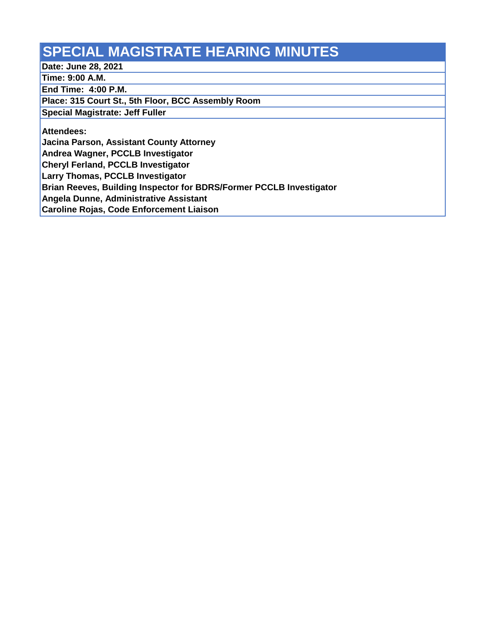## **SPECIAL MAGISTRATE HEARING MINUTES**

**Date: June 28, 2021**

**Time: 9:00 A.M.**

**End Time: 4:00 P.M.**

**Place: 315 Court St., 5th Floor, BCC Assembly Room**

**Special Magistrate: Jeff Fuller**

**Attendees:**

**Jacina Parson, Assistant County Attorney**

**Andrea Wagner, PCCLB Investigator**

**Cheryl Ferland, PCCLB Investigator**

**Larry Thomas, PCCLB Investigator**

**Brian Reeves, Building Inspector for BDRS/Former PCCLB Investigator**

**Angela Dunne, Administrative Assistant** 

**Caroline Rojas, Code Enforcement Liaison**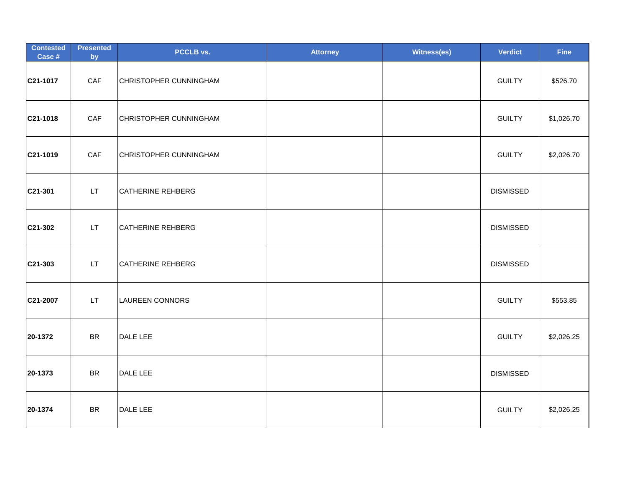| <b>Contested</b><br>Case # | <b>Presented</b><br>by | PCCLB vs.                | <b>Attorney</b> | <b>Witness(es)</b> | <b>Verdict</b>   | <b>Fine</b> |
|----------------------------|------------------------|--------------------------|-----------------|--------------------|------------------|-------------|
| C21-1017                   | CAF                    | CHRISTOPHER CUNNINGHAM   |                 |                    | <b>GUILTY</b>    | \$526.70    |
| C21-1018                   | CAF                    | CHRISTOPHER CUNNINGHAM   |                 |                    | <b>GUILTY</b>    | \$1,026.70  |
| C21-1019                   | CAF                    | CHRISTOPHER CUNNINGHAM   |                 |                    | <b>GUILTY</b>    | \$2,026.70  |
| C21-301                    | LT.                    | CATHERINE REHBERG        |                 |                    | <b>DISMISSED</b> |             |
| C21-302                    | LT.                    | CATHERINE REHBERG        |                 |                    | <b>DISMISSED</b> |             |
| C21-303                    | LT.                    | <b>CATHERINE REHBERG</b> |                 |                    | <b>DISMISSED</b> |             |
| C21-2007                   | LT.                    | <b>LAUREEN CONNORS</b>   |                 |                    | <b>GUILTY</b>    | \$553.85    |
| 20-1372                    | <b>BR</b>              | DALE LEE                 |                 |                    | <b>GUILTY</b>    | \$2,026.25  |
| 20-1373                    | <b>BR</b>              | DALE LEE                 |                 |                    | <b>DISMISSED</b> |             |
| 20-1374                    | <b>BR</b>              | DALE LEE                 |                 |                    | <b>GUILTY</b>    | \$2,026.25  |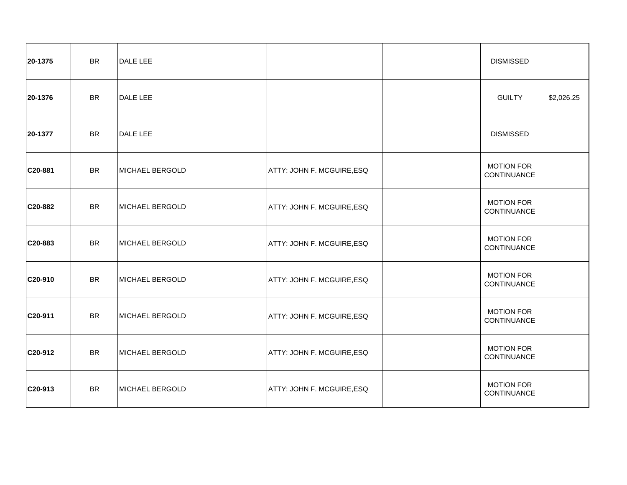| 20-1375     | <b>BR</b> | DALE LEE        |                                   | <b>DISMISSED</b>                 |            |
|-------------|-----------|-----------------|-----------------------------------|----------------------------------|------------|
| 20-1376     | <b>BR</b> | DALE LEE        |                                   | <b>GUILTY</b>                    | \$2,026.25 |
| 20-1377     | <b>BR</b> | DALE LEE        |                                   | <b>DISMISSED</b>                 |            |
| C20-881     | BR        | MICHAEL BERGOLD | ATTY: JOHN F. MCGUIRE, ESQ        | <b>MOTION FOR</b><br>CONTINUANCE |            |
| C20-882     | <b>BR</b> | MICHAEL BERGOLD | ATTY: JOHN F. MCGUIRE, ESQ        | <b>MOTION FOR</b><br>CONTINUANCE |            |
| C20-883     | <b>BR</b> | MICHAEL BERGOLD | ATTY: JOHN F. MCGUIRE, ESQ        | <b>MOTION FOR</b><br>CONTINUANCE |            |
| C20-910     | <b>BR</b> | MICHAEL BERGOLD | ATTY: JOHN F. MCGUIRE, ESQ        | <b>MOTION FOR</b><br>CONTINUANCE |            |
| C20-911     | <b>BR</b> | MICHAEL BERGOLD | ATTY: JOHN F. MCGUIRE, ESQ        | <b>MOTION FOR</b><br>CONTINUANCE |            |
| C20-912     | <b>BR</b> | MICHAEL BERGOLD | ATTY: JOHN F. MCGUIRE, ESQ        | <b>MOTION FOR</b><br>CONTINUANCE |            |
| $ C20-913 $ | <b>BR</b> | MICHAEL BERGOLD | <b>ATTY: JOHN F. MCGUIRE, ESQ</b> | <b>MOTION FOR</b><br>CONTINUANCE |            |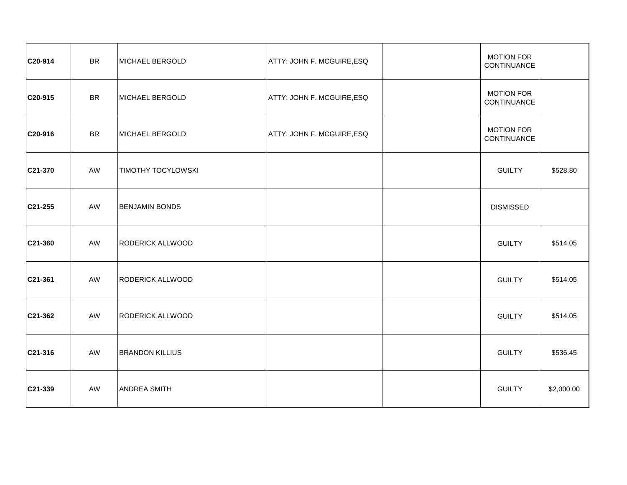| C20-914   | <b>BR</b> | MICHAEL BERGOLD           | ATTY: JOHN F. MCGUIRE, ESQ | <b>MOTION FOR</b><br>CONTINUANCE |            |
|-----------|-----------|---------------------------|----------------------------|----------------------------------|------------|
| C20-915   | <b>BR</b> | MICHAEL BERGOLD           | ATTY: JOHN F. MCGUIRE, ESQ | <b>MOTION FOR</b><br>CONTINUANCE |            |
| C20-916   | <b>BR</b> | MICHAEL BERGOLD           | ATTY: JOHN F. MCGUIRE, ESQ | <b>MOTION FOR</b><br>CONTINUANCE |            |
| C21-370   | AW        | <b>TIMOTHY TOCYLOWSKI</b> |                            | <b>GUILTY</b>                    | \$528.80   |
| C21-255   | AW        | <b>BENJAMIN BONDS</b>     |                            | <b>DISMISSED</b>                 |            |
| C21-360   | AW        | <b>RODERICK ALLWOOD</b>   |                            | <b>GUILTY</b>                    | \$514.05   |
| C21-361   | AW        | <b>RODERICK ALLWOOD</b>   |                            | <b>GUILTY</b>                    | \$514.05   |
| C21-362   | AW        | <b>RODERICK ALLWOOD</b>   |                            | <b>GUILTY</b>                    | \$514.05   |
| C21-316   | AW        | <b>BRANDON KILLIUS</b>    |                            | <b>GUILTY</b>                    | \$536.45   |
| $C21-339$ | AW        | <b>ANDREA SMITH</b>       |                            | <b>GUILTY</b>                    | \$2,000.00 |